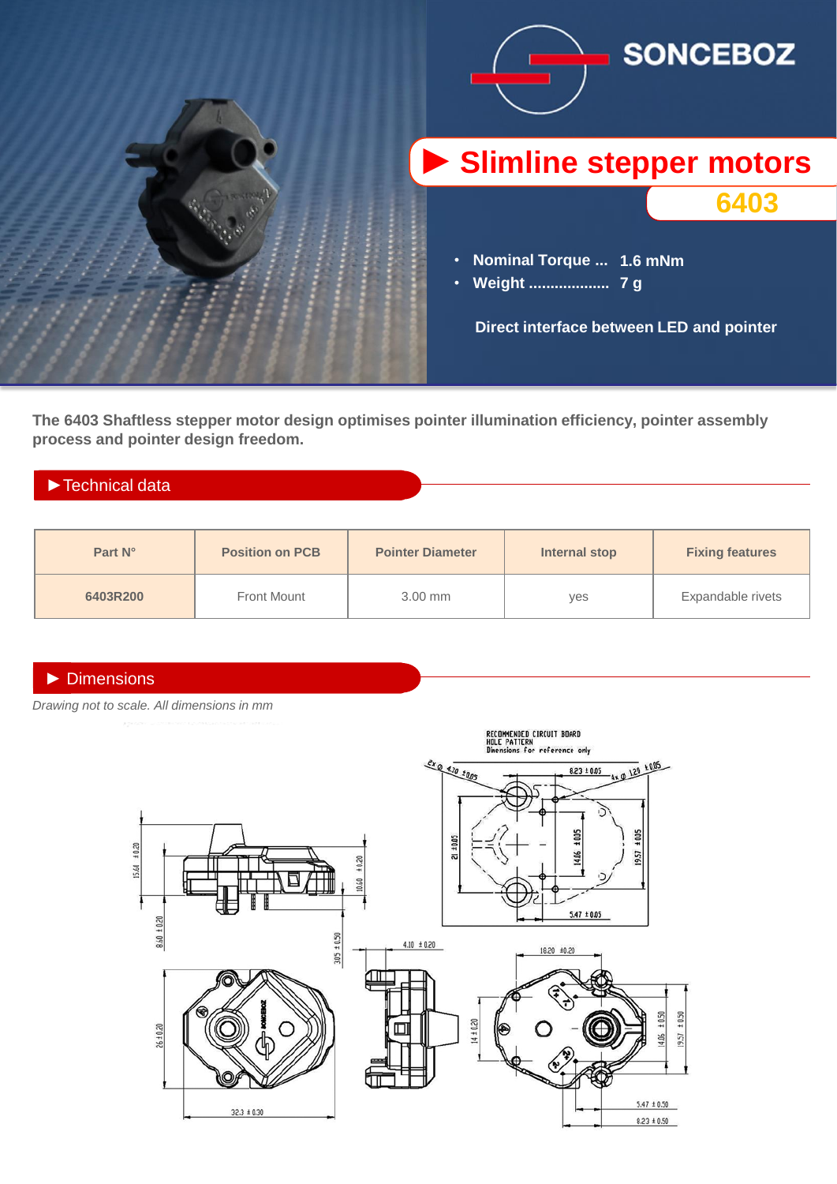

**The 6403 Shaftless stepper motor design optimises pointer illumination efficiency, pointer assembly process and pointer design freedom.**

# ►Technical data

| Part N°  | <b>Position on PCB</b> | <b>Pointer Diameter</b> | Internal stop | <b>Fixing features</b> |
|----------|------------------------|-------------------------|---------------|------------------------|
| 6403R200 | <b>Front Mount</b>     | $3.00$ mm               | yes           | Expandable rivets      |

### ► Dimensions

*Drawing not to scale. All dimensions in mm*